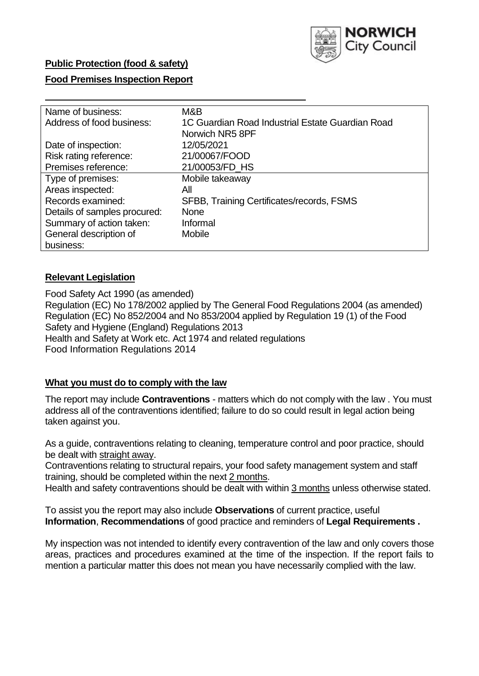

## **Public Protection (food & safety)**

# **Food Premises Inspection Report**

| Name of business:            | M&B                                              |
|------------------------------|--------------------------------------------------|
| Address of food business:    | 1C Guardian Road Industrial Estate Guardian Road |
|                              | Norwich NR5 8PF                                  |
| Date of inspection:          | 12/05/2021                                       |
| Risk rating reference:       | 21/00067/FOOD                                    |
| Premises reference:          | 21/00053/FD HS                                   |
| Type of premises:            | Mobile takeaway                                  |
| Areas inspected:             | All                                              |
| Records examined:            | SFBB, Training Certificates/records, FSMS        |
| Details of samples procured: | <b>None</b>                                      |
| Summary of action taken:     | Informal                                         |
| General description of       | <b>Mobile</b>                                    |
| business:                    |                                                  |

# **Relevant Legislation**

 Food Safety Act 1990 (as amended) Regulation (EC) No 178/2002 applied by The General Food Regulations 2004 (as amended) Regulation (EC) No 852/2004 and No 853/2004 applied by Regulation 19 (1) of the Food Safety and Hygiene (England) Regulations 2013 Health and Safety at Work etc. Act 1974 and related regulations Food Information Regulations 2014

## **What you must do to comply with the law**

 The report may include **Contraventions** - matters which do not comply with the law . You must address all of the contraventions identified; failure to do so could result in legal action being taken against you.

 As a guide, contraventions relating to cleaning, temperature control and poor practice, should be dealt with straight away.

 Contraventions relating to structural repairs, your food safety management system and staff training, should be completed within the next 2 months.

Health and safety contraventions should be dealt with within 3 months unless otherwise stated.

 To assist you the report may also include **Observations** of current practice, useful **Information**, **Recommendations** of good practice and reminders of **Legal Requirements .** 

 My inspection was not intended to identify every contravention of the law and only covers those areas, practices and procedures examined at the time of the inspection. If the report fails to mention a particular matter this does not mean you have necessarily complied with the law.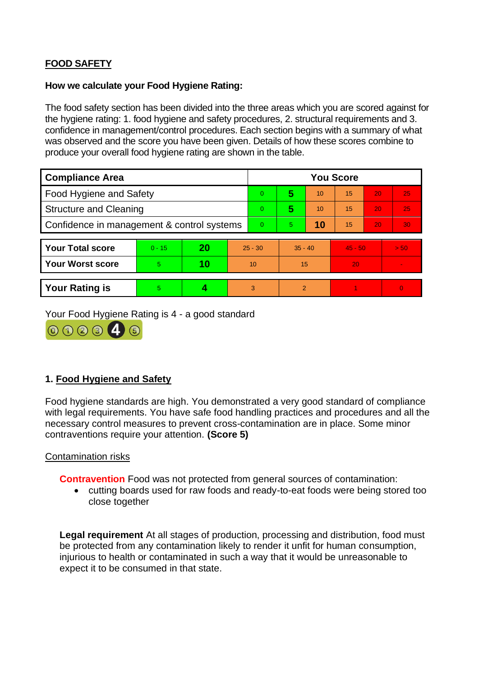# **FOOD SAFETY**

## **How we calculate your Food Hygiene Rating:**

 The food safety section has been divided into the three areas which you are scored against for the hygiene rating: 1. food hygiene and safety procedures, 2. structural requirements and 3. confidence in management/control procedures. Each section begins with a summary of what was observed and the score you have been given. Details of how these scores combine to produce your overall food hygiene rating are shown in the table.

| <b>Compliance Area</b>                     |          |    |           | <b>You Score</b> |                |    |           |    |          |  |  |
|--------------------------------------------|----------|----|-----------|------------------|----------------|----|-----------|----|----------|--|--|
| Food Hygiene and Safety                    |          |    |           | $\overline{0}$   | 5              | 10 | 15        | 20 | 25       |  |  |
| <b>Structure and Cleaning</b>              |          |    |           | $\Omega$         | 5              | 10 | 15        | 20 | 25       |  |  |
| Confidence in management & control systems |          |    |           | $\Omega$         | 5              | 10 | 15        | 20 | 30       |  |  |
|                                            |          |    |           |                  |                |    |           |    |          |  |  |
| <b>Your Total score</b>                    | $0 - 15$ | 20 | $25 - 30$ |                  | $35 - 40$      |    | $45 - 50$ |    | > 50     |  |  |
| <b>Your Worst score</b>                    | 5        | 10 | 10        |                  | 15             |    | 20        |    |          |  |  |
|                                            |          |    |           |                  |                |    |           |    |          |  |  |
| <b>Your Rating is</b>                      | 5        |    |           | 3                | $\overline{2}$ |    |           |    | $\Omega$ |  |  |

Your Food Hygiene Rating is 4 - a good standard



# **1. Food Hygiene and Safety**

 with legal requirements. You have safe food handling practices and procedures and all the Food hygiene standards are high. You demonstrated a very good standard of compliance necessary control measures to prevent cross-contamination are in place. Some minor contraventions require your attention. **(Score 5)** 

## Contamination risks

**Contravention** Food was not protected from general sources of contamination:

• cutting boards used for raw foods and ready-to-eat foods were being stored too close together

**Legal requirement** At all stages of production, processing and distribution, food must be protected from any contamination likely to render it unfit for human consumption, injurious to health or contaminated in such a way that it would be unreasonable to expect it to be consumed in that state.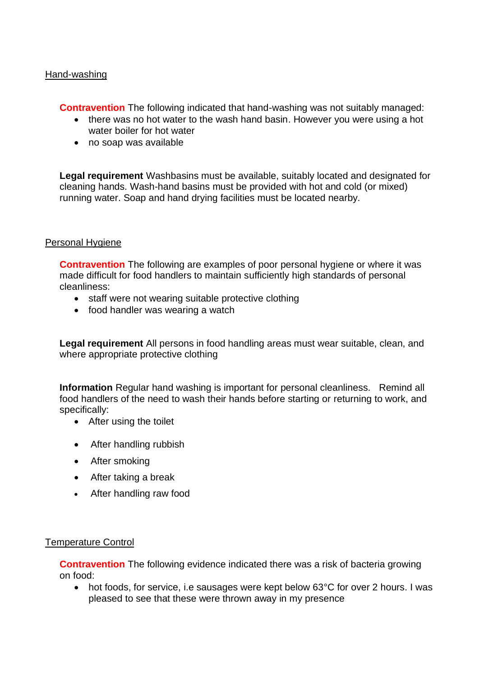#### Hand-washing

**Contravention** The following indicated that hand-washing was not suitably managed:

- there was no hot water to the wash hand basin. However you were using a hot water boiler for hot water
- no soap was available

**Legal requirement** Washbasins must be available, suitably located and designated for cleaning hands. Wash-hand basins must be provided with hot and cold (or mixed) running water. Soap and hand drying facilities must be located nearby.

#### Personal Hygiene

**Contravention** The following are examples of poor personal hygiene or where it was made difficult for food handlers to maintain sufficiently high standards of personal cleanliness:

- staff were not wearing suitable protective clothing
- food handler was wearing a watch

**Legal requirement** All persons in food handling areas must wear suitable, clean, and where appropriate protective clothing

 **Information** Regular hand washing is important for personal cleanliness. Remind all food handlers of the need to wash their hands before starting or returning to work, and specifically:

- After using the toilet
- After handling rubbish
- After smoking
- After taking a break
- After handling raw food

#### Temperature Control

**Contravention** The following evidence indicated there was a risk of bacteria growing on food:

• hot foods, for service, i.e sausages were kept below 63°C for over 2 hours. I was pleased to see that these were thrown away in my presence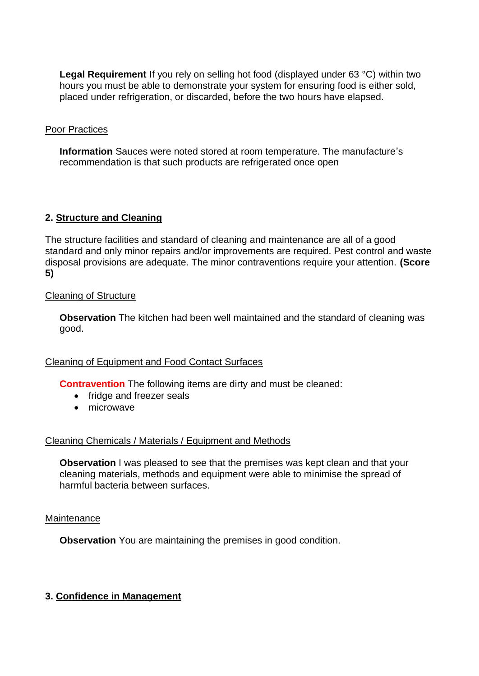**Legal Requirement** If you rely on selling hot food (displayed under 63 °C) within two hours you must be able to demonstrate your system for ensuring food is either sold, placed under refrigeration, or discarded, before the two hours have elapsed.

## Poor Practices

**Information** Sauces were noted stored at room temperature. The manufacture's recommendation is that such products are refrigerated once open

# **2. Structure and Cleaning**

The structure facilities and standard of cleaning and maintenance are all of a good standard and only minor repairs and/or improvements are required. Pest control and waste disposal provisions are adequate. The minor contraventions require your attention. **(Score 5)** 

## Cleaning of Structure

**Observation** The kitchen had been well maintained and the standard of cleaning was good.

## Cleaning of Equipment and Food Contact Surfaces

**Contravention** The following items are dirty and must be cleaned:

- fridge and freezer seals
- microwave

## Cleaning Chemicals / Materials / Equipment and Methods

**Observation** I was pleased to see that the premises was kept clean and that your cleaning materials, methods and equipment were able to minimise the spread of harmful bacteria between surfaces.

#### **Maintenance**

**Observation** You are maintaining the premises in good condition.

## **3. Confidence in Management**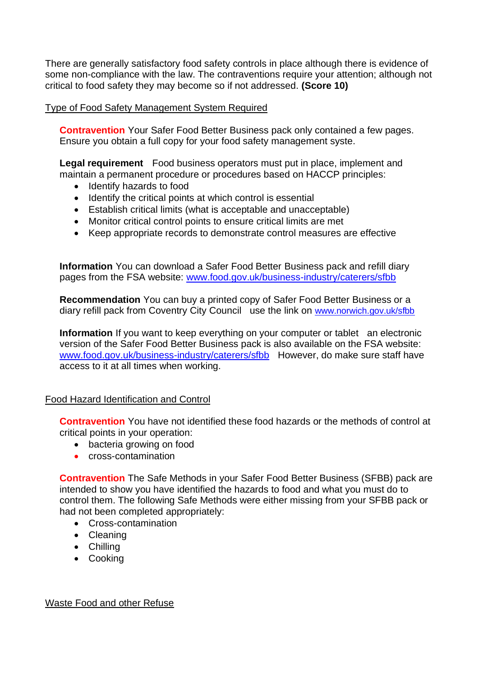There are generally satisfactory food safety controls in place although there is evidence of some non-compliance with the law. The contraventions require your attention; although not critical to food safety they may become so if not addressed. **(Score 10)** 

## Type of Food Safety Management System Required

**Contravention** Your Safer Food Better Business pack only contained a few pages. Ensure you obtain a full copy for your food safety management syste.

**Legal requirement** Food business operators must put in place, implement and maintain a permanent procedure or procedures based on HACCP principles:

- Identify hazards to food
- Identify the critical points at which control is essential
- Establish critical limits (what is acceptable and unacceptable)
- Monitor critical control points to ensure critical limits are met
- Keep appropriate records to demonstrate control measures are effective

 **Information** You can download a Safer Food Better Business pack and refill diary pages from the FSA website: [www.food.gov.uk/business-industry/caterers/sfbb](http://www.food.gov.uk/business-industry/caterers/sfbb) 

diary refill pack from Coventry City Council use the link on www.norwich.gov.uk/sfbb **Recommendation** You can buy a printed copy of Safer Food Better Business or a

 **Information** If you want to keep everything on your computer or tablet an electronic [www.food.gov.uk/business-industry/caterers/sfbb](http://www.food.gov.uk/business-industry/caterers/sfbb) However, do make sure staff have version of the Safer Food Better Business pack is also available on the FSA website: access to it at all times when working.

#### Food Hazard Identification and Control

**Contravention** You have not identified these food hazards or the methods of control at critical points in your operation:

- bacteria growing on food
- cross-contamination

**Contravention** The Safe Methods in your Safer Food Better Business (SFBB) pack are intended to show you have identified the hazards to food and what you must do to control them. The following Safe Methods were either missing from your SFBB pack or had not been completed appropriately:

- Cross-contamination
- Cleaning
- Chilling
- Cooking

Waste Food and other Refuse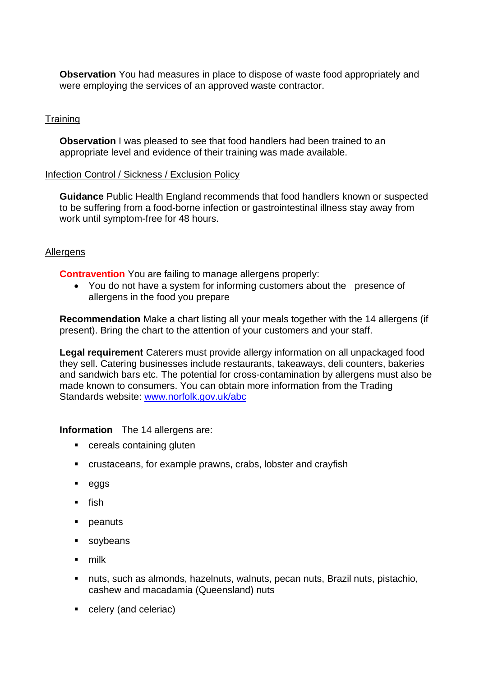**Observation** You had measures in place to dispose of waste food appropriately and were employing the services of an approved waste contractor.

# **Training**

 **Observation** I was pleased to see that food handlers had been trained to an appropriate level and evidence of their training was made available.

#### Infection Control / Sickness / Exclusion Policy

**Guidance** Public Health England recommends that food handlers known or suspected to be suffering from a food-borne infection or gastrointestinal illness stay away from work until symptom-free for 48 hours.

## **Allergens**

**Contravention** You are failing to manage allergens properly:

 • You do not have a system for informing customers about the presence of allergens in the food you prepare

**Recommendation** Make a chart listing all your meals together with the 14 allergens (if present). Bring the chart to the attention of your customers and your staff.

 made known to consumers. You can obtain more information from the Trading **Legal requirement** Caterers must provide allergy information on all unpackaged food they sell. Catering businesses include restaurants, takeaways, deli counters, bakeries and sandwich bars etc. The potential for cross-contamination by allergens must also be Standards website: [www.norfolk.gov.uk/abc](http://www.norfolk.gov.uk/abc) 

## **Information** The 14 allergens are:

- cereals containing gluten
- crustaceans, for example prawns, crabs, lobster and crayfish
- eggs
- $\blacksquare$  fish
- peanuts
- soybeans
- milk
- nuts, such as almonds, hazelnuts, walnuts, pecan nuts, Brazil nuts, pistachio, cashew and macadamia (Queensland) nuts
- celery (and celeriac)